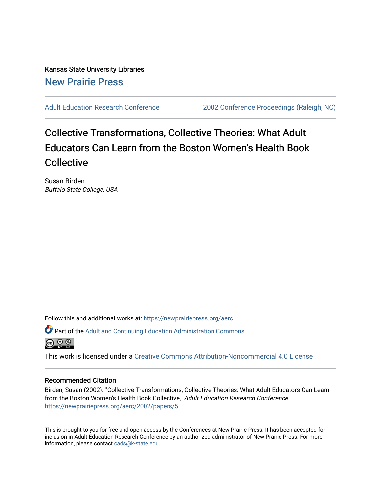Kansas State University Libraries [New Prairie Press](https://newprairiepress.org/) 

[Adult Education Research Conference](https://newprairiepress.org/aerc) [2002 Conference Proceedings \(Raleigh, NC\)](https://newprairiepress.org/aerc/2002) 

# Collective Transformations, Collective Theories: What Adult Educators Can Learn from the Boston Women's Health Book Collective

Susan Birden Buffalo State College, USA

Follow this and additional works at: [https://newprairiepress.org/aerc](https://newprairiepress.org/aerc?utm_source=newprairiepress.org%2Faerc%2F2002%2Fpapers%2F5&utm_medium=PDF&utm_campaign=PDFCoverPages)

Part of the [Adult and Continuing Education Administration Commons](http://network.bepress.com/hgg/discipline/789?utm_source=newprairiepress.org%2Faerc%2F2002%2Fpapers%2F5&utm_medium=PDF&utm_campaign=PDFCoverPages)



This work is licensed under a [Creative Commons Attribution-Noncommercial 4.0 License](https://creativecommons.org/licenses/by-nc/4.0/)

#### Recommended Citation

Birden, Susan (2002). "Collective Transformations, Collective Theories: What Adult Educators Can Learn from the Boston Women's Health Book Collective," Adult Education Research Conference. <https://newprairiepress.org/aerc/2002/papers/5>

This is brought to you for free and open access by the Conferences at New Prairie Press. It has been accepted for inclusion in Adult Education Research Conference by an authorized administrator of New Prairie Press. For more information, please contact [cads@k-state.edu](mailto:cads@k-state.edu).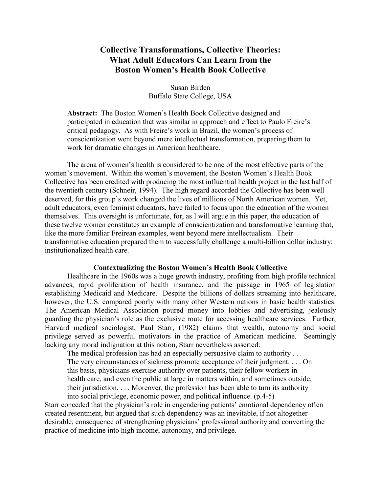## **Collective Transformations, Collective Theories: What Adult Educators Can Learn from the Boston Women's Health Book Collective**

Susan Birden Buffalo State College, USA

**Abstract:** The Boston Women's Health Book Collective designed and participated in education that was similar in approach and effect to Paulo Freire's critical pedagogy. As with Freire's work in Brazil, the women's process of conscientization went beyond mere intellectual transformation, preparing them to work for dramatic changes in American healthcare.

The arena of women's health is considered to be one of the most effective parts of the women's movement. Within the women's movement, the Boston Women's Health Book Collective has been credited with producing the most influential health project in the last half of the twentieth century (Schneir, 1994). The high regard accorded the Collective has been well deserved, for this group's work changed the lives of millions of North American women. Yet, adult educators, even feminist educators, have failed to focus upon the education of the women themselves. This oversight is unfortunate, for, as I will argue in this paper, the education of these twelve women constitutes an example of conscientization and transformative learning that, like the more familiar Freirean examples, went beyond mere intellectualism. Their transformative education prepared them to successfully challenge a multi-billion dollar industry: institutionalized health care.

#### **Contextualizing the Boston Women's Health Book Collective**

Healthcare in the 1960s was a huge growth industry, profiting from high profile technical advances, rapid proliferation of health insurance, and the passage in 1965 of legislation establishing Medicaid and Medicare. Despite the billions of dollars streaming into healthcare, however, the U.S. compared poorly with many other Western nations in basic health statistics. The American Medical Association poured money into lobbies and advertising, jealously guarding the physician's role as the exclusive route for accessing healthcare services. Further, Harvard medical sociologist, Paul Starr, (1982) claims that wealth, autonomy and social privilege served as powerful motivators in the practice of American medicine. Seemingly lacking any moral indignation at this notion, Starr nevertheless asserted:

The medical profession has had an especially persuasive claim to authority . . . The very circumstances of sickness promote acceptance of their judgment. . . . On this basis, physicians exercise authority over patients, their fellow workers in health care, and even the public at large in matters within, and sometimes outside, their jurisdiction. . . . Moreover, the profession has been able to turn its authority into social privilege, economic power, and political influence. (p.4-5)

Starr conceded that the physician's role in engendering patients' emotional dependency often created resentment, but argued that such dependency was an inevitable, if not altogether desirable, consequence of strengthening physicians' professional authority and converting the practice of medicine into high income, autonomy, and privilege.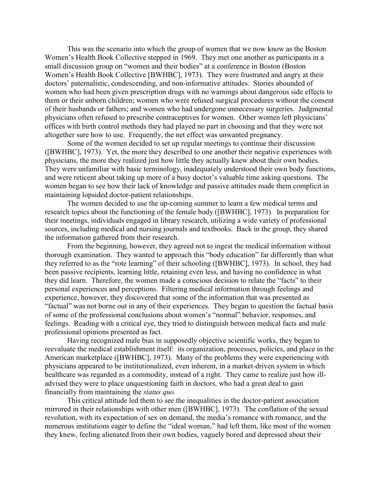This was the scenario into which the group of women that we now know as the Boston Women's Health Book Collective stepped in 1969. They met one another as participants in a small discussion group on "women and their bodies" at a conference in Boston (Boston Women's Health Book Collective [BWHBC], 1973). They were frustrated and angry at their doctors' paternalistic, condescending, and non-informative attitudes. Stories abounded of women who had been given prescription drugs with no warnings about dangerous side effects to them or their unborn children; women who were refused surgical procedures without the consent of their husbands or fathers; and women who had undergone unnecessary surgeries. Judgmental physicians often refused to prescribe contraceptives for women. Other women left physicians' offices with birth control methods they had played no part in choosing and that they were not altogether sure how to use. Frequently, the net effect was unwanted pregnancy.

Some of the women decided to set up regular meetings to continue their discussion ([BWHBC], 1973). Yet, the more they described to one another their negative experiences with physicians, the more they realized just how little they actually knew about their own bodies. They were unfamiliar with basic terminology, inadequately understood their own body functions, and were reticent about taking up more of a busy doctor's valuable time asking questions. The women began to see how their lack of knowledge and passive attitudes made them complicit in maintaining lopsided doctor-patient relationships.

The women decided to use the up-coming summer to learn a few medical terms and research topics about the functioning of the female body ([BWHBC], 1973). In preparation for their meetings, individuals engaged in library research, utilizing a wide variety of professional sources, including medical and nursing journals and textbooks. Back in the group, they shared the information gathered from their research.

From the beginning, however, they agreed not to ingest the medical information without thorough examination. They wanted to approach this "body education" far differently than what they referred to as the "rote learning" of their schooling ([BWHBC], 1973). In school, they had been passive recipients, learning little, retaining even less, and having no confidence in what they did learn. Therefore, the women made a conscious decision to relate the "facts" to their personal experiences and perceptions. Filtering medical information through feelings and experience, however, they discovered that some of the information that was presented as "factual" was not borne out in any of their experiences. They began to question the factual basis of some of the professional conclusions about women's "normal" behavior, responses, and feelings. Reading with a critical eye, they tried to distinguish between medical facts and male professional opinions presented as fact.

Having recognized male bias in supposedly objective scientific works, they began to reevaluate the medical establishment itself: its organization, processes, policies, and place in the American marketplace ([BWHBC], 1973). Many of the problems they were experiencing with physicians appeared to be institutionalized, even inherent, in a market-driven system in which healthcare was regarded as a commodity, instead of a right. They came to realize just how illadvised they were to place unquestioning faith in doctors, who had a great deal to gain financially from maintaining the *status quo.*

This critical attitude led them to see the inequalities in the doctor-patient association mirrored in their relationships with other men ([BWHBC], 1973). The conflation of the sexual revolution, with its expectation of sex on demand, the media's romance with romance, and the numerous institutions eager to define the "ideal woman," had left them, like most of the women they knew, feeling alienated from their own bodies, vaguely bored and depressed about their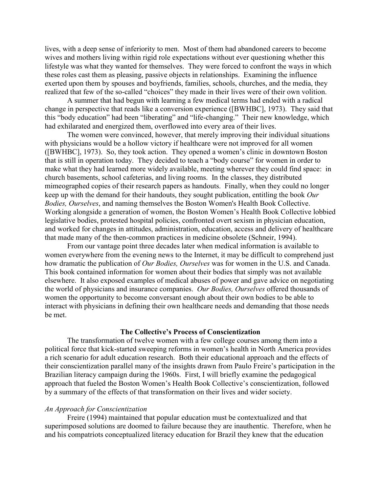lives, with a deep sense of inferiority to men. Most of them had abandoned careers to become wives and mothers living within rigid role expectations without ever questioning whether this lifestyle was what they wanted for themselves. They were forced to confront the ways in which these roles cast them as pleasing, passive objects in relationships. Examining the influence exerted upon them by spouses and boyfriends, families, schools, churches, and the media, they realized that few of the so-called "choices" they made in their lives were of their own volition.

A summer that had begun with learning a few medical terms had ended with a radical change in perspective that reads like a conversion experience ([BWHBC], 1973). They said that this "body education" had been "liberating" and "life-changing." Their new knowledge, which had exhilarated and energized them, overflowed into every area of their lives.

The women were convinced, however, that merely improving their individual situations with physicians would be a hollow victory if healthcare were not improved for all women ([BWHBC], 1973). So, they took action. They opened a women's clinic in downtown Boston that is still in operation today. They decided to teach a "body course" for women in order to make what they had learned more widely available, meeting wherever they could find space: in church basements, school cafeterias, and living rooms. In the classes, they distributed mimeographed copies of their research papers as handouts. Finally, when they could no longer keep up with the demand for their handouts, they sought publication, entitling the book *Our Bodies, Ourselves*, and naming themselves the Boston Women's Health Book Collective. Working alongside a generation of women, the Boston Women's Health Book Collective lobbied legislative bodies, protested hospital policies, confronted overt sexism in physician education, and worked for changes in attitudes, administration, education, access and delivery of healthcare that made many of the then-common practices in medicine obsolete (Schneir, 1994).

From our vantage point three decades later when medical information is available to women everywhere from the evening news to the Internet, it may be difficult to comprehend just how dramatic the publication of *Our Bodies, Ourselves* was for women in the U.S. and Canada. This book contained information for women about their bodies that simply was not available elsewhere. It also exposed examples of medical abuses of power and gave advice on negotiating the world of physicians and insurance companies. *Our Bodies, Ourselves* offered thousands of women the opportunity to become conversant enough about their own bodies to be able to interact with physicians in defining their own healthcare needs and demanding that those needs be met.

#### **The Collective's Process of Conscientization**

The transformation of twelve women with a few college courses among them into a political force that kick-started sweeping reforms in women's health in North America provides a rich scenario for adult education research. Both their educational approach and the effects of their conscientization parallel many of the insights drawn from Paulo Freire's participation in the Brazilian literacy campaign during the 1960s. First, I will briefly examine the pedagogical approach that fueled the Boston Women's Health Book Collective's conscientization, followed by a summary of the effects of that transformation on their lives and wider society.

#### *An Approach for Conscientization*

Freire (1994) maintained that popular education must be contextualized and that superimposed solutions are doomed to failure because they are inauthentic. Therefore, when he and his compatriots conceptualized literacy education for Brazil they knew that the education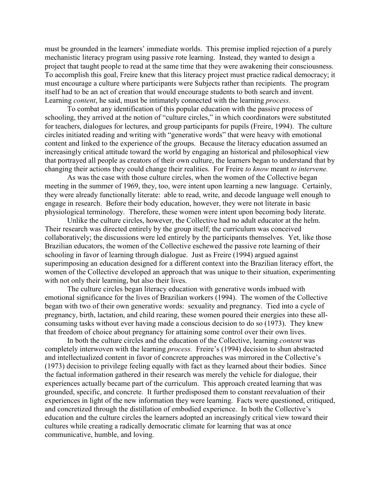must be grounded in the learners' immediate worlds. This premise implied rejection of a purely mechanistic literacy program using passive rote learning. Instead, they wanted to design a project that taught people to read at the same time that they were awakening their consciousness. To accomplish this goal, Freire knew that this literacy project must practice radical democracy; it must encourage a culture where participants were Subjects rather than recipients. The program itself had to be an act of creation that would encourage students to both search and invent. Learning *content*, he said, must be intimately connected with the learning *process.*

To combat any identification of this popular education with the passive process of schooling, they arrived at the notion of "culture circles," in which coordinators were substituted for teachers, dialogues for lectures, and group participants for pupils (Freire, 1994). The culture circles initiated reading and writing with "generative words" that were heavy with emotional content and linked to the experience of the groups. Because the literacy education assumed an increasingly critical attitude toward the world by engaging an historical and philosophical view that portrayed all people as creators of their own culture, the learners began to understand that by changing their actions they could change their realities. For Freire *to know* meant *to intervene.*

As was the case with those culture circles, when the women of the Collective began meeting in the summer of 1969, they, too, were intent upon learning a new language. Certainly, they were already functionally literate: able to read, write, and decode language well enough to engage in research. Before their body education, however, they were not literate in basic physiological terminology. Therefore, these women were intent upon becoming body literate.

Unlike the culture circles, however, the Collective had no adult educator at the helm. Their research was directed entirely by the group itself; the curriculum was conceived collaboratively; the discussions were led entirely by the participants themselves. Yet, like those Brazilian educators, the women of the Collective eschewed the passive rote learning of their schooling in favor of learning through dialogue. Just as Freire (1994) argued against superimposing an education designed for a different context into the Brazilian literacy effort, the women of the Collective developed an approach that was unique to their situation, experimenting with not only their learning, but also their lives.

The culture circles began literacy education with generative words imbued with emotional significance for the lives of Brazilian workers (1994). The women of the Collective began with two of their own generative words: sexuality and pregnancy. Tied into a cycle of pregnancy, birth, lactation, and child rearing, these women poured their energies into these allconsuming tasks without ever having made a conscious decision to do so (1973). They knew that freedom of choice about pregnancy for attaining some control over their own lives.

In both the culture circles and the education of the Collective, learning *content* was completely interwoven with the learning *process.* Freire's (1994) decision to shun abstracted and intellectualized content in favor of concrete approaches was mirrored in the Collective's (1973) decision to privilege feeling equally with fact as they learned about their bodies. Since the factual information gathered in their research was merely the vehicle for dialogue, their experiences actually became part of the curriculum. This approach created learning that was grounded, specific, and concrete. It further predisposed them to constant reevaluation of their experiences in light of the new information they were learning. Facts were questioned, critiqued, and concretized through the distillation of embodied experience. In both the Collective's education and the culture circles the learners adopted an increasingly critical view toward their cultures while creating a radically democratic climate for learning that was at once communicative, humble, and loving.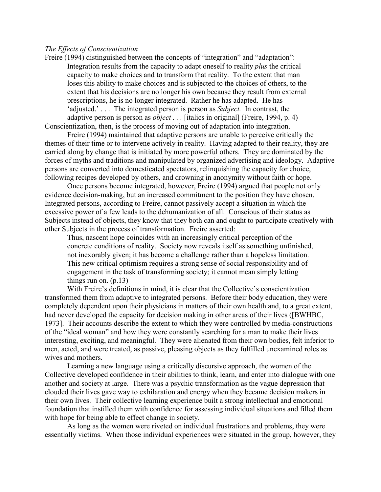#### *The Effects of Conscientization*

Freire (1994) distinguished between the concepts of "integration" and "adaptation": Integration results from the capacity to adapt oneself to reality *plus* the critical capacity to make choices and to transform that reality. To the extent that man loses this ability to make choices and is subjected to the choices of others, to the extent that his decisions are no longer his own because they result from external prescriptions, he is no longer integrated. Rather he has adapted. He has 'adjusted.' . . . The integrated person is person as *Subject.* In contrast, the adaptive person is person as *object . . .* [italics in original] (Freire, 1994, p. 4) Conscientization, then, is the process of moving out of adaptation into integration.

Freire (1994) maintained that adaptive persons are unable to perceive critically the themes of their time or to intervene actively in reality. Having adapted to their reality, they are carried along by change that is initiated by more powerful others. They are dominated by the forces of myths and traditions and manipulated by organized advertising and ideology. Adaptive persons are converted into domesticated spectators, relinquishing the capacity for choice, following recipes developed by others, and drowning in anonymity without faith or hope.

Once persons become integrated, however, Freire (1994) argued that people not only evidence decision-making, but an increased commitment to the position they have chosen. Integrated persons, according to Freire, cannot passively accept a situation in which the excessive power of a few leads to the dehumanization of all. Conscious of their status as Subjects instead of objects, they know that they both can and ought to participate creatively with other Subjects in the process of transformation. Freire asserted:

Thus, nascent hope coincides with an increasingly critical perception of the concrete conditions of reality. Society now reveals itself as something unfinished, not inexorably given; it has become a challenge rather than a hopeless limitation. This new critical optimism requires a strong sense of social responsibility and of engagement in the task of transforming society; it cannot mean simply letting things run on.  $(p.13)$ 

With Freire's definitions in mind, it is clear that the Collective's conscientization transformed them from adaptive to integrated persons. Before their body education, they were completely dependent upon their physicians in matters of their own health and, to a great extent, had never developed the capacity for decision making in other areas of their lives ([BWHBC, 1973]. Their accounts describe the extent to which they were controlled by media-constructions of the "ideal woman" and how they were constantly searching for a man to make their lives interesting, exciting, and meaningful. They were alienated from their own bodies, felt inferior to men, acted, and were treated, as passive, pleasing objects as they fulfilled unexamined roles as wives and mothers.

Learning a new language using a critically discursive approach, the women of the Collective developed confidence in their abilities to think, learn, and enter into dialogue with one another and society at large. There was a psychic transformation as the vague depression that clouded their lives gave way to exhilaration and energy when they became decision makers in their own lives. Their collective learning experience built a strong intellectual and emotional foundation that instilled them with confidence for assessing individual situations and filled them with hope for being able to effect change in society.

As long as the women were riveted on individual frustrations and problems, they were essentially victims. When those individual experiences were situated in the group, however, they